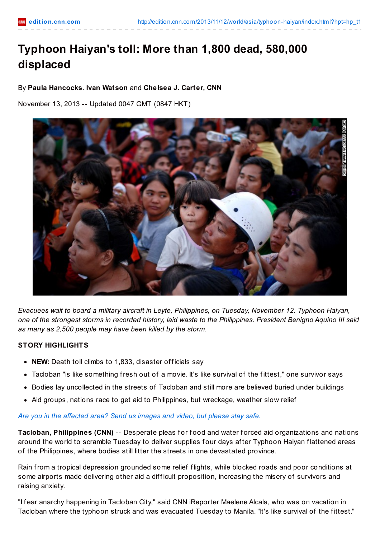# **Typhoon Haiyan's toll: More than 1,800 dead, 580,000 displaced**

## By **Paula Hancocks. Ivan Watson** and **Chelsea J. Carter, CNN**

November 13, 2013 -- Updated 0047 GMT (0847 HKT)



*Evacuees wait to board a military aircraft in Leyte, Philippines, on Tuesday, November 12. Typhoon Haiyan,* one of the strongest storms in recorded history, laid waste to the Philippines. President Benigno Aquino III said *as many as 2,500 people may have been killed by the storm.*

## **STORY HIGHLIGHTS**

- NEW: Death toll climbs to 1,833, disaster officials say
- Tacloban "is like something fresh out of a movie. It's like survival of the f ittest," one survivor says
- Bodies lay uncollected in the streets of Tacloban and still more are believed buried under buildings
- Aid groups, nations race to get aid to Philippines, but wreckage, weather slow relief

## *Are you in the [affected](http://ireport.cnn.com/topics/1057748) area? Send us images and video, but please stay safe.*

**Tacloban, Philippines (CNN)** -- Desperate pleas for food and water forced aid organizations and nations around the world to scramble Tuesday to deliver supplies four days after Typhoon Haiyan flattened areas of the Philippines, where bodies still litter the streets in one devastated province.

Rain from a tropical depression grounded some relief f lights, while blocked roads and poor conditions at some airports made delivering other aid a difficult proposition, increasing the misery of survivors and raising anxiety.

"I f ear anarchy happening in Tacloban City," said CNN iReporter Maelene Alcala, who was on vacation in Tacloban where the typhoon struck and was evacuated Tuesday to Manila. "It's like survival of the f ittest."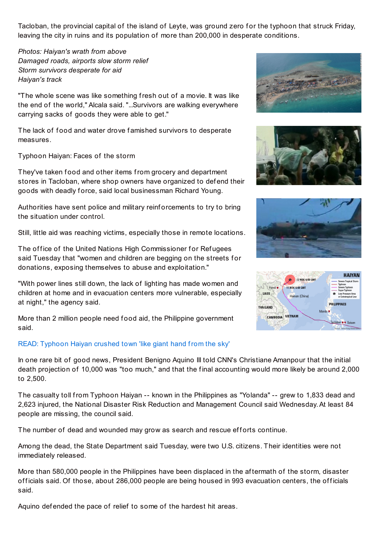Tacloban, the provincial capital of the island of Leyte, was ground zero for the typhoon that struck Friday, leaving the city in ruins and its population of more than 200,000 in desperate conditions.

*Photos: Haiyan's wrath from above Damaged roads, airports slow storm relief Storm survivors desperate for aid Haiyan's track*

"The whole scene was like something fresh out of a movie. It was like the end of the world," Alcala said. "...Survivors are walking everywhere carrying sacks of goods they were able to get."

The lack of food and water drove famished survivors to desperate measures.

Typhoon Haiyan: Faces of the storm

They've taken food and other items from grocery and department stores in Tacloban, where shop owners have organized to def end their goods with deadly f orce, said local businessman Richard Young.

Authorities have sent police and military reinf orcements to try to bring the situation under control.

Still, little aid was reaching victims, especially those in remote locations.

The office of the United Nations High Commissioner for Refugees said Tuesday that "women and children are begging on the streets for donations, exposing themselves to abuse and exploitation."

"With power lines still down, the lack of lighting has made women and children at home and in evacuation centers more vulnerable, especially at night," the agency said.

More than 2 million people need food aid, the Philippine government said.

## READ: [Typhoon](http://cnn.com/2013/11/11/world/asia/philippines-typhoon-haiyan-destruction-watson/) Haiyan crushed town 'like giant hand from the sky'









In one rare bit of good news, President Benigno Aquino III told CNN's Christiane Amanpour that the initial death projection of 10,000 was "too much," and that the f inal accounting would more likely be around 2,000 to 2,500.

The casualty toll from Typhoon Haiyan -- known in the Philippines as "Yolanda" -- grew to 1,833 dead and 2,623 injured, the National Disaster Risk Reduction and Management Council said Wednesday.At least 84 people are missing, the council said.

The number of dead and wounded may grow as search and rescue efforts continue.

Among the dead, the State Department said Tuesday, were two U.S. citizens. Their identities were not immediately released.

More than 580,000 people in the Philippines have been displaced in the af termath of the storm, disaster officials said. Of those, about 286,000 people are being housed in 993 evacuation centers, the officials said.

Aquino defended the pace of relief to some of the hardest hit areas.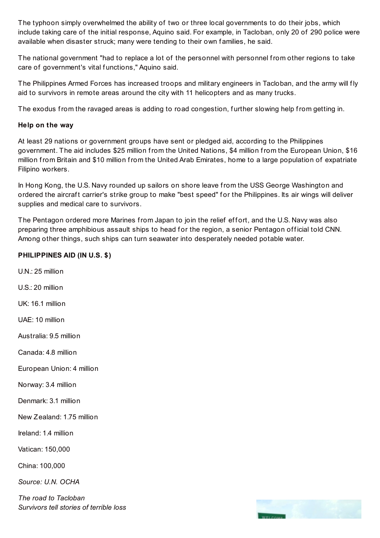The typhoon simply overwhelmed the ability of two or three local governments to do their jobs, which include taking care of the initial response, Aquino said. For example, in Tacloban, only 20 of 290 police were available when disaster struck; many were tending to their own families, he said.

The national government "had to replace a lot of the personnel with personnel from other regions to take care of government's vital functions." Aquino said.

The Philippines Armed Forces has increased troops and military engineers in Tacloban, and the army will fly aid to survivors in remote areas around the city with 11 helicopters and as many trucks.

The exodus from the ravaged areas is adding to road congestion, f urther slowing help from getting in.

## **Help on the way**

At least 29 nations or government groups have sent or pledged aid, according to the Philippines government. The aid includes \$25 million from the United Nations, \$4 million from the European Union, \$16 million from Britain and \$10 million from the United Arab Emirates, home to a large population of expatriate Filipino workers.

In Hong Kong, the U.S. Navy rounded up sailors on shore leave from the USS George Washington and ordered the aircraft carrier's strike group to make "best speed" for the Philippines. Its air wings will deliver supplies and medical care to survivors.

The Pentagon ordered more Marines from Japan to join the relief effort, and the U.S. Navy was also preparing three amphibious assault ships to head for the region, a senior Pentagon official told CNN. Among other things, such ships can turn seawater into desperately needed potable water.

## **PHILIPPINES AID (IN U.S. \$)**

 $UN: 25$  million U.S.: 20 million UK: 16.1 million UAE: 10 million Australia: 9.5 million Canada: 4.8 million European Union: 4 million Norway: 3.4 million Denmark: 3.1 million New Zealand: 1.75 million Ireland: 1.4 million Vatican: 150,000 China: 100,000 *Source: U.N. OCHA*

*The road to Tacloban Survivors tell stories of terrible loss*

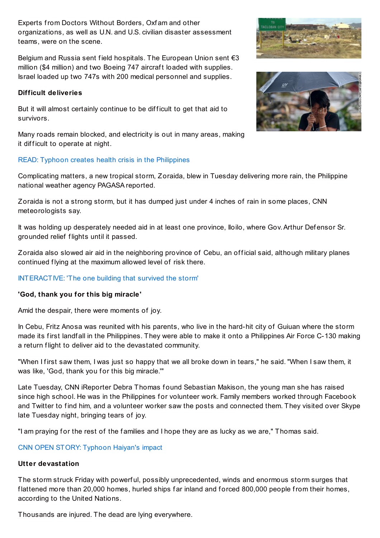Experts from Doctors Without Borders, Oxf am and other organizations, as well as U.N. and U.S. civilian disaster assessment teams, were on the scene.

Belgium and Russia sent field hospitals. The European Union sent €3 million (\$4 million) and two Boeing 747 aircraft loaded with supplies. Israel loaded up two 747s with 200 medical personnel and supplies.

## **Difficult deliveries**

But it will almost certainly continue to be difficult to get that aid to survivors.

Many roads remain blocked, and electricity is out in many areas, making it difficult to operate at night.

## READ: Typhoon creates health crisis in the [Philippines](http://cnn.com/2013/11/11/health/typhoon-medical-crisis/)

Complicating matters, a new tropical storm, Zoraida, blew in Tuesday delivering more rain, the Philippine national weather agency PAGASA reported.

Zoraida is not a strong storm, but it has dumped just under 4 inches of rain in some places, CNN meteorologists say.

It was holding up desperately needed aid in at least one province, Iloilo, where Gov. Arthur Defensor Sr. grounded relief f lights until it passed.

Zoraida also slowed air aid in the neighboring province of Cebu, an official said, although military planes continued flying at the maximum allowed level of risk there.

## [INTERACTIVE:](http://cnn.com/2013/11/11/world/asia/tacloban-typhoon-building/) 'The one building that survived the storm'

## **'God, thank you for this big miracle'**

Amid the despair, there were moments of joy.

In Cebu, Fritz Anosa was reunited with his parents, who live in the hard-hit city of Guiuan where the storm made its first landfall in the Philippines. They were able to make it onto a Philippines Air Force C-130 making a return flight to deliver aid to the devastated community.

"When I first saw them, I was just so happy that we all broke down in tears," he said. "When I saw them, it was like, 'God, thank you for this big miracle."

Late Tuesday, CNN iReporter Debra Thomas found Sebastian Makison, the young man she has raised since high school. He was in the Philippines for volunteer work. Family members worked through Facebook and Twitter to find him, and a volunteer worker saw the posts and connected them. They visited over Skype late Tuesday night, bringing tears of joy.

"I am praving for the rest of the families and I hope they are as lucky as we are." Thomas said.

## CNN OPEN STORY: [Typhoon](http://ireport.cnn.com/open-story.jspa?openStoryID=1058473#DOC-1059575) Haiyan's impact

## **Utter devastation**

The storm struck Friday with powerf ul, possibly unprecedented, winds and enormous storm surges that flattened more than 20,000 homes, hurled ships far inland and forced 800,000 people from their homes, according to the United Nations.

Thousands are injured. The dead are lying everywhere.



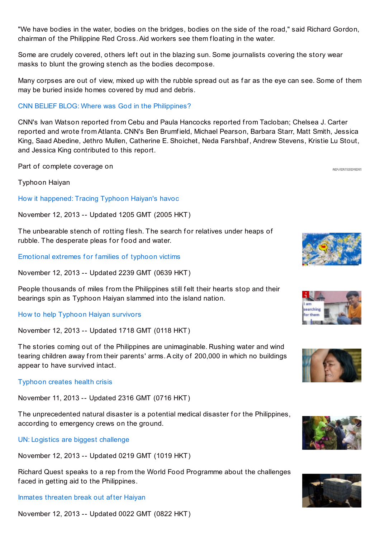"We have bodies in the water, bodies on the bridges, bodies on the side of the road," said Richard Gordon, chairman of the Philippine Red Cross.Aid workers see them f loating in the water.

Some are crudely covered, others left out in the blazing sun. Some journalists covering the story wear masks to blunt the growing stench as the bodies decompose.

Many corpses are out of view, mixed up with the rubble spread out as far as the eye can see. Some of them may be buried inside homes covered by mud and debris.

#### CNN BELIEF BLOG: Where was God in the [Philippines?](http://religion.blogs.cnn.com/2013/11/11/where-was-god-in-the-philippines/)

CNN's Ivan Watson reported from Cebu and Paula Hancocks reported from Tacloban; Chelsea J. Carter reported and wrote from Atlanta. CNN's Ben Brumf ield, Michael Pearson, Barbara Starr, Matt Smith, Jessica King, Saad Abedine, Jethro Mullen, Catherine E. Shoichet, Neda Farshbaf , Andrew Stevens, Kristie Lu Stout, and Jessica King contributed to this report.

Part of complete coverage on

Typhoon Haiyan

How it [happened:](http://edition.cnn.com/2013/11/12/world/asia/typhoon-haiyan-tic-toc/index.html?iid=article_sidebar) Tracing Typhoon Haiyan's havoc

November 12, 2013 -- Updated 1205 GMT (2005 HKT)

The unbearable stench of rotting flesh. The search for relatives under heaps of rubble. The desperate pleas for food and water.

[Emotional](http://edition.cnn.com/2013/11/12/world/asia/typhoon-haiyan-people/index.html?iid=article_sidebar) extremes for families of typhoon victims

November 12, 2013 -- Updated 2239 GMT (0639 HKT)

People thousands of miles from the Philippines still felt their hearts stop and their bearings spin as Typhoon Haiyan slammed into the island nation.

#### How to help Typhoon Haiyan [survivors](http://edition.cnn.com/2013/11/09/world/iyw-how-to-help-typhoon-haiyan/index.html?iid=article_sidebar)

November 12, 2013 -- Updated 1718 GMT (0118 HKT)

The stories coming out of the Philippines are unimaginable. Rushing water and wind tearing children away from their parents' arms.A city of 200,000 in which no buildings appear to have survived intact.

[Typhoon](http://edition.cnn.com/2013/11/11/health/typhoon-medical-crisis/index.html?iid=article_sidebar) creates health crisis

November 11, 2013 -- Updated 2316 GMT (0716 HKT)

The unprecedented natural disaster is a potential medical disaster for the Philippines, according to emergency crews on the ground.

UN: Logistics are biggest [challenge](http://edition.cnn.com/video/data/2.0/video/world/2013/11/11/philippines-typhoon-haiyan-world-food-programme-intv.cnn.html?iid=article_sidebar)

November 12, 2013 -- Updated 0219 GMT (1019 HKT)

Richard Quest speaks to a rep from the World Food Programme about the challenges faced in getting aid to the Philippines.

Inmates [threaten](http://edition.cnn.com/video/data/2.0/video/world/2013/11/11/philippines-typhoon-prison-problems-stevens-pkg.cnn.html?iid=article_sidebar) break out af ter Haiyan

November 12, 2013 -- Updated 0022 GMT (0822 HKT)



**ADVERTISEMENT** 







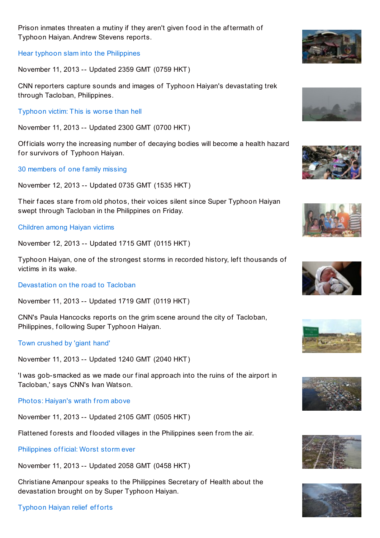

Hear typhoon slam into the [Philippines](http://edition.cnn.com/video/data/2.0/video/us/2013/11/11/tsr-nats-typhoon-haiyan-devastation.cnn.html?iid=article_sidebar)

November 11, 2013 -- Updated 2359 GMT (0759 HKT)

CNN reporters capture sounds and images of Typhoon Haiyan's devastating trek through Tacloban, Philippines.

[Typhoon](http://edition.cnn.com/video/data/2.0/video/world/2013/11/11/tsr-todd-tacloban-haiyan-typhoon.cnn.html?iid=article_sidebar) victim: This is worse than hell

November 11, 2013 -- Updated 2300 GMT (0700 HKT)

Officials worry the increasing number of decaying bodies will become a health hazard for survivors of Typhoon Haiyan.

30 [members](http://edition.cnn.com/2013/11/11/world/asia/typhoon-haiyan-tacloban-tan-family-missing/index.html?iid=article_sidebar) of one f amily missing

November 12, 2013 -- Updated 0735 GMT (1535 HKT)

Their faces stare from old photos, their voices silent since Super Typhoon Haiyan swept through Tacloban in the Philippines on Friday.

## [Children](http://edition.cnn.com/2013/11/11/world/gallery/typhoon-haiyan-victims/index.html?iid=article_sidebar) among Haiyan victims

November 12, 2013 -- Updated 1715 GMT (0115 HKT)

Typhoon Haiyan, one of the strongest storms in recorded history, left thousands of victims in its wake.

[Devastation](http://edition.cnn.com/video/data/2.0/video/world/2013/11/11/hancocks-philippines-road-to-tacloban.cnn.html?iid=article_sidebar) on the road to Tacloban

November 11, 2013 -- Updated 1719 GMT (0119 HKT)

CNN's Paula Hancocks reports on the grim scene around the city of Tacloban, Philippines, following Super Typhoon Haiyan.

Town [crushed](http://edition.cnn.com/2013/11/11/world/asia/philippines-typhoon-haiyan-destruction-watson/index.html?iid=article_sidebar) by 'giant hand'

November 11, 2013 -- Updated 1240 GMT (2040 HKT)

'I was gob-smacked as we made our f inal approach into the ruins of the airport in Tacloban,' says CNN's Ivan Watson.

Photos: [Haiyan's](http://edition.cnn.com/2013/11/11/asia/gallery/haiyan-aerials/index.html?iid=article_sidebar) wrath from above

November 11, 2013 -- Updated 2105 GMT (0505 HKT)

Flattened forests and flooded villages in the Philippines seen from the air.

[Philippines](http://edition.cnn.com/video/data/2.0/video/world/2013/11/11/philippines-typhoon-enrique-ona-amanpour-intv.cnn.html?iid=article_sidebar) of ficial: Worst storm ever

November 11, 2013 -- Updated 2058 GMT (0458 HKT)

Christiane Amanpour speaks to the Philippines Secretary of Health about the devastation brought on by Super Typhoon Haiyan.

[Typhoon](http://edition.cnn.com/2013/11/11/asia/gallery/typhoon-haiyan-relief/index.html?iid=article_sidebar) Haiyan relief efforts

















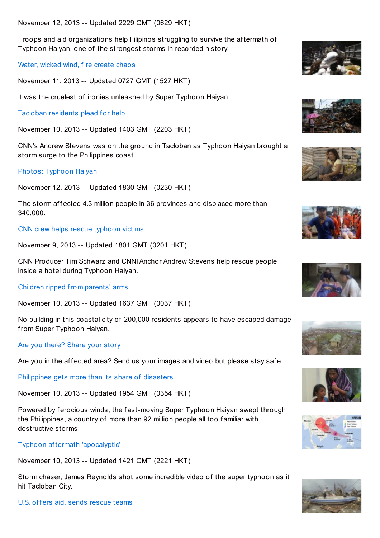November 12, 2013 -- Updated 2229 GMT (0629 HKT)

Troops and aid organizations help Filipinos struggling to survive the af termath of Typhoon Haiyan, one of the strongest storms in recorded history.

Water, [wicked](http://edition.cnn.com/2013/11/09/world/asia/storm-chaser-tacloba-super-typhoon-haiyan/index.html?iid=article_sidebar) wind, fire create chaos

November 11, 2013 -- Updated 0727 GMT (1527 HKT)

It was the cruelest of ironies unleashed by Super Typhoon Haiyan.

Tacloban [residents](http://edition.cnn.com/video/data/2.0/video/world/2013/11/10/pkg-stevens-philippines-typhoon-tacloban-city.cnn.html?iid=article_sidebar) plead for help

November 10, 2013 -- Updated 1403 GMT (2203 HKT)

CNN's Andrew Stevens was on the ground in Tacloban as Typhoon Haiyan brought a storm surge to the Philippines coast.

## Photos: [Typhoon](http://edition.cnn.com/2013/11/07/asia/gallery/typhoon-haiyan/index.html?iid=article_sidebar) Haiyan

November 12, 2013 -- Updated 1830 GMT (0230 HKT)

The storm affected 4.3 million people in 36 provinces and displaced more than 340,000.

CNN crew helps rescue [typhoon](http://edition.cnn.com/video/data/2.0/video/weather/2013/11/09/raw-inside-typhoon-philippines-rescue.james-reynolds-uncut-productions.html?iid=article_sidebar) victims

November 9, 2013 -- Updated 1801 GMT (0201 HKT)

CNN Producer Tim Schwarz and CNNIAnchor Andrew Stevens help rescue people inside a hotel during Typhoon Haiyan.

[Children](http://edition.cnn.com/2013/11/09/world/asia/philippines-tacloban/index.html?iid=article_sidebar) ripped from parents' arms

November 10, 2013 -- Updated 1637 GMT (0037 HKT)

No building in this coastal city of 200,000 residents appears to have escaped damage from Super Typhoon Haiyan.

Are you [there?](http://ireport.cnn.com/topics/1057748?hpt=hp_t1&iid=article_sidebar) Share your story

Are you in the affected area? Send us your images and video but please stay safe.

[Philippines](http://edition.cnn.com/2013/11/08/world/asia/philippines-typhoon-destruction/index.html?iid=article_sidebar) gets more than its share of disasters

November 10, 2013 -- Updated 1954 GMT (0354 HKT)

Powered by ferocious winds, the fast-moving Super Typhoon Haiyan swept through the Philippines, a country of more than 92 million people all too f amiliar with destructive storms.

## Typhoon af termath ['apocalyptic'](http://edition.cnn.com/video/data/2.0/video/world/2013/11/10/natpkg-philippines-typhoon-storm-chaser.james-reynolds-uncut-productions.html?iid=article_sidebar)

November 10, 2013 -- Updated 1421 GMT (2221 HKT)

Storm chaser, James Reynolds shot some incredible video of the super typhoon as it hit Tacloban City.

U.S. offers aid, sends [rescue](http://edition.cnn.com/2013/11/09/world/asia/philippines-typhoon-us-assistance/index.html?iid=article_sidebar) teams